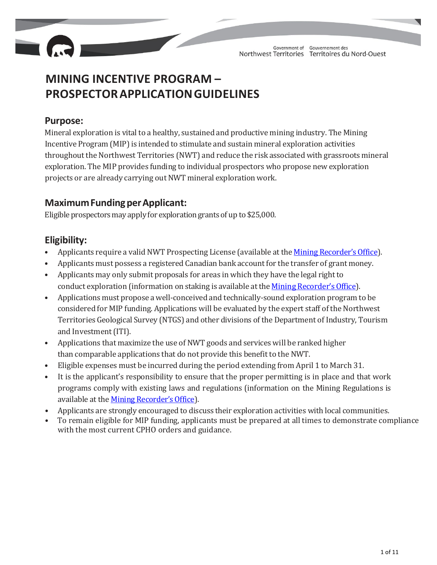

# **MINING INCENTIVE PROGRAM – PROSPECTORAPPLICATIONGUIDELINES**

### **Purpose:**

Mineral exploration is vital to a healthy, sustained and productive mining industry. The Mining Incentive Program (MIP) is intended to stimulate and sustain mineral exploration activities throughout the Northwest Territories (NWT) and reduce the risk associated with grassroots mineral exploration. The MIP provides funding to individual prospectors who propose new exploration projects or are already carrying outNWT mineral exploration work.

# **MaximumFundingperApplicant:**

Eligible prospectors may apply for exploration grants of up to \$25,000.

# **Eligibility:**

- Applicants require a valid NWT Prospecting License (available at the Mining Recorder's Office).
- Applicants must possess a registered Canadian bank account for the transfer of grant money.
- Applicants may only submit proposals for areas in which they have the legal right to conduct exploration (information on staking is available at the Mining Recorder's Office).
- Applications must propose a well-conceived and technically-sound exploration program to be considered for MIP funding. Applications will be evaluated by the expert staff of the Northwest Territories Geological Survey (NTGS) and other divisions of the Department of Industry, Tourism and Investment (ITI).
- Applications that maximize the use of NWT goods and services will be ranked higher than comparable applications that do not provide this benefit to the NWT.
- Eligible expenses must be incurred during the period extending from April 1 to March 31.
- It is the applicant's responsibility to ensure that the proper permitting is in place and that work programs comply with existing laws and regulations (information on the Mining Regulations is available at the Mining Recorder's Office).
- Applicants are strongly encouraged to discuss their exploration activities with local communities.
- To remain eligible for MIP funding, applicants must be prepared at all times to demonstrate compliance with the most current CPHO orders and guidance.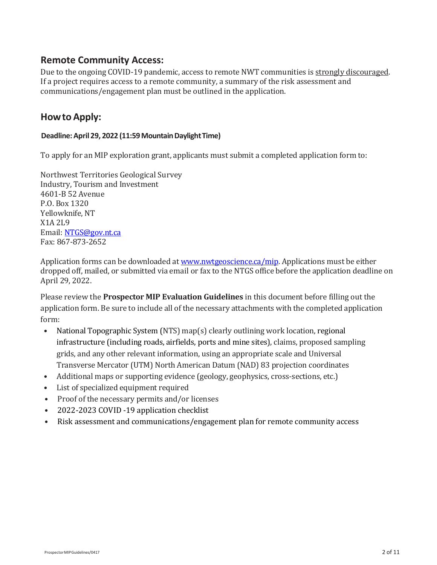### **Remote Community Access:**

Due to the ongoing COVID-19 pandemic, access to remote NWT communities is strongly discouraged. If a project requires access to a remote community, a summary of the risk assessment and communications/engagement plan must be outlined in the application.

## **Howto Apply:**

### **Deadline:April 29, 2022 (11:59MountainDaylightTime)**

To apply for an MIP exploration grant, applicants must submit a completed application form to:

Northwest Territories Geological Survey Industry, Tourism and Investment 4601‐B 52 Avenue P.O. Box 1320 Yellowknife, NT X1A 2L9 Email[: NTGS@gov.nt.ca](mailto:NTGS@gov.nt.ca) Fax: 867‐873‐2652

Application forms can be downloaded a[t www.nwtgeoscience.ca/mip.](http://www.nwtgeoscience.ca/mip) Applications must be either dropped off, mailed, or submitted via email or fax to the NTGS office before the application deadline on April 29, 2022.

Please review the **Prospector MIP Evaluation Guidelines** in this document before filling out the application form. Be sure to include all of the necessary attachments with the completed application form:

- National Topographic System (NTS) map(s) clearly outlining work location, regional infrastructure (including roads, airfields, ports and mine sites), claims, proposed sampling grids, and any other relevant information, using an appropriate scale and Universal Transverse Mercator (UTM) North American Datum (NAD) 83 projection coordinates
- Additional maps or supporting evidence (geology, geophysics, cross‐sections, etc.)
- List of specialized equipment required
- Proof of the necessary permits and/or licenses
- 2022-2023 COVID -19 application checklist
- Risk assessment and communications/engagement plan for remote community access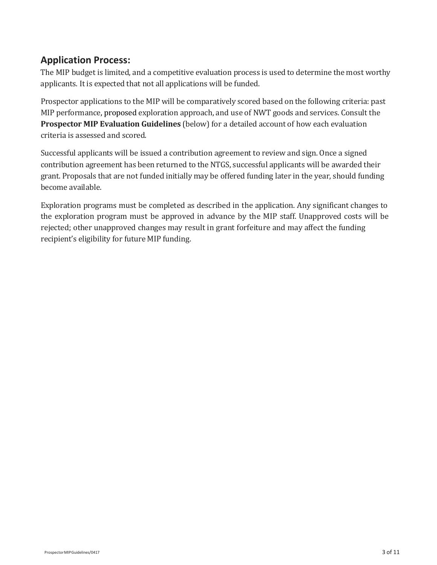## **Application Process:**

The MIP budget is limited, and a competitive evaluation process is used to determine the most worthy applicants. It is expected that not all applications will be funded.

Prospector applications to the MIP will be comparatively scored based on the following criteria: past MIP performance, proposed exploration approach, and use of NWT goods and services. Consult the **Prospector MIP Evaluation Guidelines** (below) for a detailed account of how each evaluation criteria is assessed and scored.

Successful applicants will be issued a contribution agreement to review and sign. Once a signed contribution agreement has been returned to the NTGS, successful applicants will be awarded their grant. Proposals that are not funded initially may be offered funding later in the year, should funding become available.

Exploration programs must be completed as described in the application. Any significant changes to the exploration program must be approved in advance by the MIP staff. Unapproved costs will be rejected; other unapproved changes may result in grant forfeiture and may affect the funding recipient's eligibility for future MIP funding.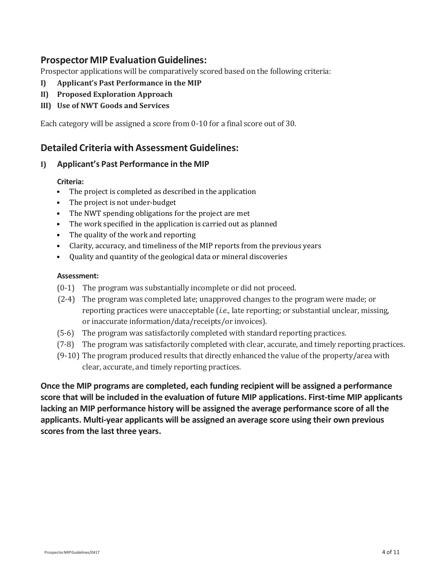### **Prospector MIP EvaluationGuidelines:**

Prospector applications will be comparatively scored based on the following criteria:

- **I) Applicant's Past Performance in the MIP**
- **II) Proposed Exploration Approach**
- **III) Use of NWT Goods and Services**

Each category will be assigned a score from 0‐10 for a final score out of 30.

### **Detailed Criteria with Assessment Guidelines:**

### **I) Applicant's Past Performance in the MIP**

### **Criteria:**

- The project is completed as described in the application
- The project is not under-budget
- The NWT spending obligations for the project are met
- The work specified in the application is carried out as planned
- The quality of the work and reporting
- Clarity, accuracy, and timeliness of the MIP reports from the previous years
- Quality and quantity of the geological data or mineral discoveries

### **Assessment:**

- (0‐1) The program was substantially incomplete or did not proceed.
- (2‐4) The program was completed late; unapproved changes to the program were made; or reporting practices were unacceptable (*i.e.,* late reporting; or substantial unclear, missing, or inaccurate information/data/receipts/or invoices).
- (5‐6) The program was satisfactorily completed with standard reporting practices.
- (7‐8) The program was satisfactorily completed with clear, accurate, and timely reporting practices.
- (9‐10) The program produced results that directly enhanced the value of the property/area with clear, accurate, and timely reporting practices.

**Once the MIP programs are completed, each funding recipient will be assigned a performance score that will be included in the evaluation of future MIP applications. First‐time MIP applicants lacking an MIP performance history will be assigned the average performance score of all the applicants. Multi-year applicants will be assigned an average score using their own previous scores from the last three years.**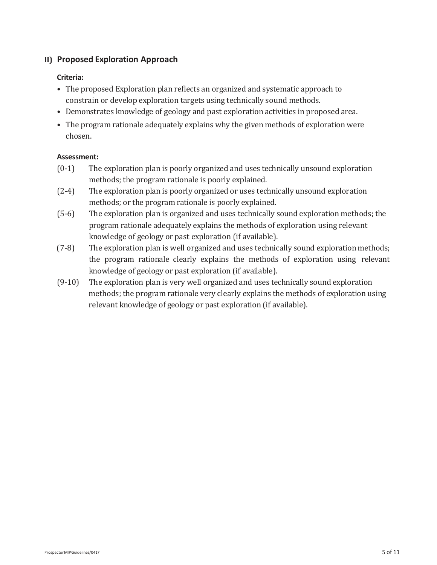### **II) Proposed Exploration Approach**

#### **Criteria:**

- The proposed Exploration plan reflects an organized and systematic approach to constrain or develop exploration targets using technically sound methods.
- Demonstrates knowledge of geology and past exploration activities in proposed area.
- The program rationale adequately explains why the given methods of exploration were chosen.

#### **Assessment:**

- (0‐1) The exploration plan is poorly organized and uses technically unsound exploration methods; the program rationale is poorly explained.
- (2‐4) The exploration plan is poorly organized or uses technically unsound exploration methods; or the program rationale is poorly explained.
- (5‐6) The exploration plan is organized and uses technically sound exploration methods; the program rationale adequately explains the methods of exploration using relevant knowledge of geology or past exploration (if available).
- (7‐8) The exploration plan is well organized and uses technically sound exploration methods; the program rationale clearly explains the methods of exploration using relevant knowledge of geology or past exploration (if available).
- (9‐10) The exploration plan is very well organized and uses technically sound exploration methods; the program rationale very clearly explains the methods of exploration using relevant knowledge of geology or past exploration (if available).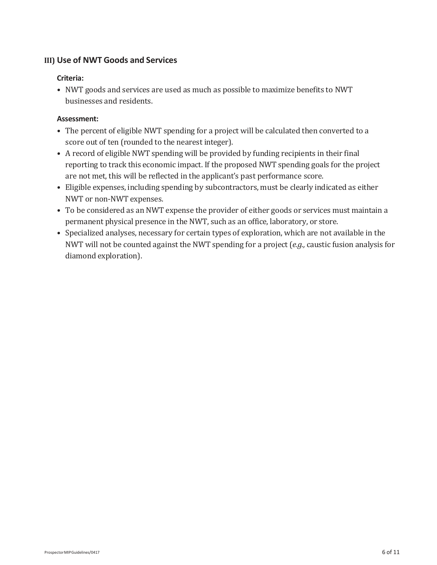### **III) Use of NWT Goods and Services**

### **Criteria:**

• NWT goods and services are used as much as possible to maximize benefits to NWT businesses and residents.

### **Assessment:**

- The percent of eligible NWT spending for a project will be calculated then converted to a score out of ten (rounded to the nearest integer).
- A record of eligible NWT spending will be provided by funding recipients in their final reporting to track this economic impact. If the proposed NWT spending goals for the project are not met, this will be reflected in the applicant's past performance score.
- Eligible expenses, including spending by subcontractors, must be clearly indicated as either NWT or non‐NWT expenses.
- To be considered as an NWT expense the provider of either goods or services must maintain a permanent physical presence in the NWT, such as an office, laboratory, or store.
- Specialized analyses, necessary for certain types of exploration, which are not available in the NWT will not be counted against the NWT spending for a project (*e.g.,* caustic fusion analysis for diamond exploration).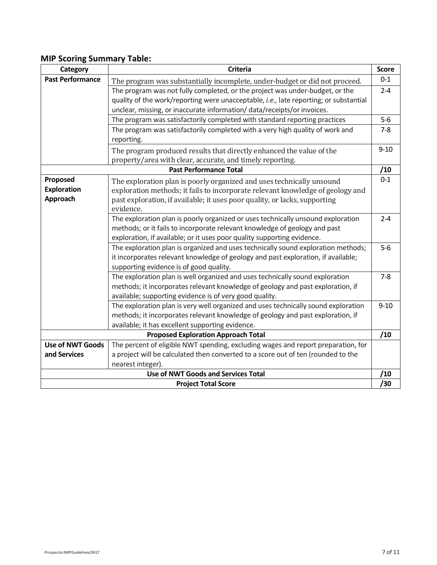### **MIP Scoring Summary Table:**

| Category                                   | <b>Criteria</b>                                                                                                                   | <b>Score</b> |
|--------------------------------------------|-----------------------------------------------------------------------------------------------------------------------------------|--------------|
| <b>Past Performance</b>                    | The program was substantially incomplete, under-budget or did not proceed.                                                        | $0 - 1$      |
|                                            | The program was not fully completed, or the project was under-budget, or the                                                      | $2 - 4$      |
|                                            | quality of the work/reporting were unacceptable, i.e., late reporting; or substantial                                             |              |
|                                            | unclear, missing, or inaccurate information/ data/receipts/or invoices.                                                           |              |
|                                            | The program was satisfactorily completed with standard reporting practices                                                        | $5-6$        |
|                                            | The program was satisfactorily completed with a very high quality of work and<br>reporting.                                       | $7 - 8$      |
|                                            |                                                                                                                                   | $9 - 10$     |
|                                            | The program produced results that directly enhanced the value of the<br>property/area with clear, accurate, and timely reporting. |              |
| <b>Past Performance Total</b><br>/10       |                                                                                                                                   |              |
| Proposed                                   | The exploration plan is poorly organized and uses technically unsound                                                             | $0 - 1$      |
| <b>Exploration</b>                         | exploration methods; it fails to incorporate relevant knowledge of geology and                                                    |              |
| Approach                                   | past exploration, if available; it uses poor quality, or lacks, supporting                                                        |              |
|                                            | evidence.                                                                                                                         |              |
|                                            | The exploration plan is poorly organized or uses technically unsound exploration                                                  | $2 - 4$      |
|                                            | methods; or it fails to incorporate relevant knowledge of geology and past                                                        |              |
|                                            | exploration, if available; or it uses poor quality supporting evidence.                                                           |              |
|                                            | The exploration plan is organized and uses technically sound exploration methods;                                                 | $5-6$        |
|                                            | it incorporates relevant knowledge of geology and past exploration, if available;                                                 |              |
|                                            | supporting evidence is of good quality.                                                                                           |              |
|                                            | The exploration plan is well organized and uses technically sound exploration                                                     | $7 - 8$      |
|                                            | methods; it incorporates relevant knowledge of geology and past exploration, if                                                   |              |
|                                            | available; supporting evidence is of very good quality.                                                                           |              |
|                                            | The exploration plan is very well organized and uses technically sound exploration                                                | $9 - 10$     |
|                                            | methods; it incorporates relevant knowledge of geology and past exploration, if                                                   |              |
|                                            | available; it has excellent supporting evidence.                                                                                  | /10          |
| <b>Proposed Exploration Approach Total</b> |                                                                                                                                   |              |
| <b>Use of NWT Goods</b>                    | The percent of eligible NWT spending, excluding wages and report preparation, for                                                 |              |
| and Services                               | a project will be calculated then converted to a score out of ten (rounded to the                                                 |              |
| nearest integer).<br>/10                   |                                                                                                                                   |              |
| <b>Use of NWT Goods and Services Total</b> |                                                                                                                                   |              |
| /30<br><b>Project Total Score</b>          |                                                                                                                                   |              |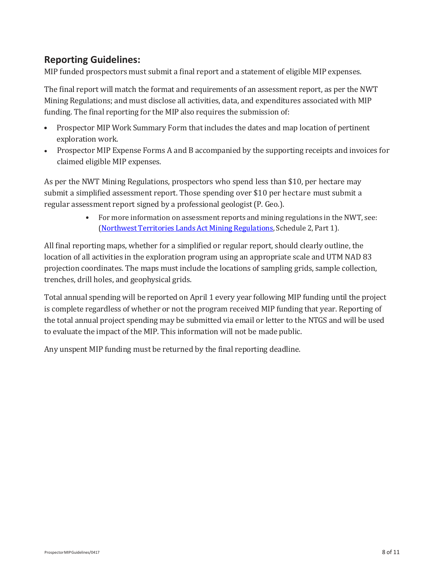# **Reporting Guidelines:**

MIP funded prospectors must submit a final report and a statement of eligible MIP expenses.

The final report will match the format and requirements of an assessment report, as per the NWT Mining Regulations; and must disclose all activities, data, and expenditures associated with MIP funding. The final reporting for the MIP also requires the submission of:

- Prospector MIP Work Summary Form that includes the dates and map location of pertinent exploration work.
- Prospector MIP Expense Forms A and B accompanied by the supporting receipts and invoices for claimed eligible MIP expenses.

As per the NWT Mining Regulations, prospectors who spend less than \$10, per hectare may submit a simplified assessment report. Those spending over \$10 per hectare must submit a regular assessment report signed by a professional geologist (P. Geo.).

> • For more information on assessment reports and mining regulations in the NWT, see: (Northwest Territories Lands Act Mining [Regulations,](https://www.justice.gov.nt.ca/en/files/legislation/northwest-territories-lands/northwest-territories-lands.r7.pdf) Schedule 2, Part 1).

All final reporting maps, whether for a simplified or regular report, should clearly outline, the location of all activities in the exploration program using an appropriate scale and UTM NAD 83 projection coordinates. The maps must include the locations of sampling grids, sample collection, trenches, drill holes, and geophysical grids.

Total annual spending will be reported on April 1 every year following MIP funding until the project is complete regardless of whether or not the program received MIP funding that year. Reporting of the total annual project spending may be submitted via email or letter to the NTGS and will be used to evaluate the impact of the MIP. This information will not be made public.

Any unspent MIP funding must be returned by the final reporting deadline.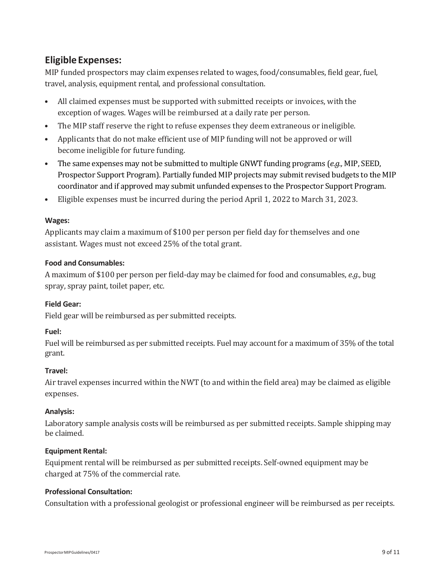# **Eligible Expenses:**

MIP funded prospectors may claim expenses related to wages, food/consumables, field gear, fuel, travel, analysis, equipment rental, and professional consultation.

- All claimed expenses must be supported with submitted receipts or invoices, with the exception of wages. Wages will be reimbursed at a daily rate per person.
- The MIP staff reserve the right to refuse expenses they deem extraneous or ineligible.
- Applicants that do not make efficient use of MIP funding will not be approved or will become ineligible for future funding.
- The same expenses may not be submitted to multiple GNWT funding programs (*e.g.,* MIP, SEED, Prospector Support Program). Partially funded MIP projects may submit revised budgets to the MIP coordinator and if approved may submit unfunded expenses to the Prospector Support Program.
- Eligible expenses must be incurred during the period April 1, 2022 to March 31, 2023.

### **Wages:**

Applicants may claim a maximum of \$100 per person per field day for themselves and one assistant. Wages must not exceed 25% of the total grant.

### **Food and Consumables:**

A maximum of \$100 per person per field‐day may be claimed for food and consumables, *e.g.,* bug spray, spray paint, toilet paper, etc.

### **Field Gear:**

Field gear will be reimbursed as per submitted receipts.

### **Fuel:**

Fuel will be reimbursed as per submitted receipts. Fuel may account for a maximum of 35% of the total grant.

### **Travel:**

Air travel expenses incurred within the NWT (to and within the field area) may be claimed as eligible expenses.

### **Analysis:**

Laboratory sample analysis costs will be reimbursed as per submitted receipts. Sample shipping may be claimed.

### **Equipment Rental:**

Equipment rental will be reimbursed as per submitted receipts. Self‐owned equipment may be charged at 75% of the commercial rate.

### **Professional Consultation:**

Consultation with a professional geologist or professional engineer will be reimbursed as per receipts.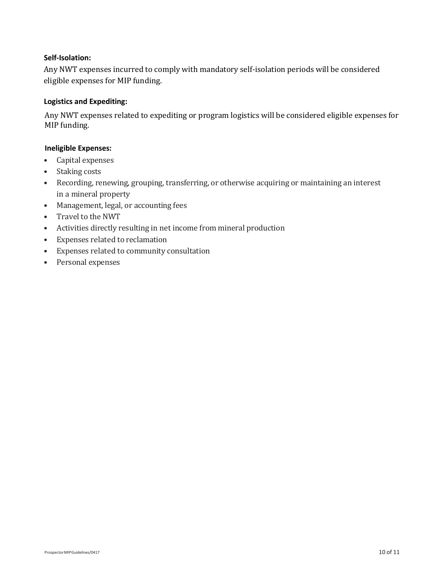### **Self-Isolation:**

Any NWT expenses incurred to comply with mandatory self-isolation periods will be considered eligible expenses for MIP funding.

#### **Logistics and Expediting:**

Any NWT expenses related to expediting or program logistics will be considered eligible expenses for MIP funding.

#### **Ineligible Expenses:**

- Capital expenses
- Staking costs
- Recording, renewing, grouping, transferring, or otherwise acquiring or maintaining an interest in a mineral property
- Management, legal, or accounting fees
- Travel to the NWT
- Activities directly resulting in net income from mineral production
- Expenses related to reclamation
- Expenses related to community consultation
- Personal expenses